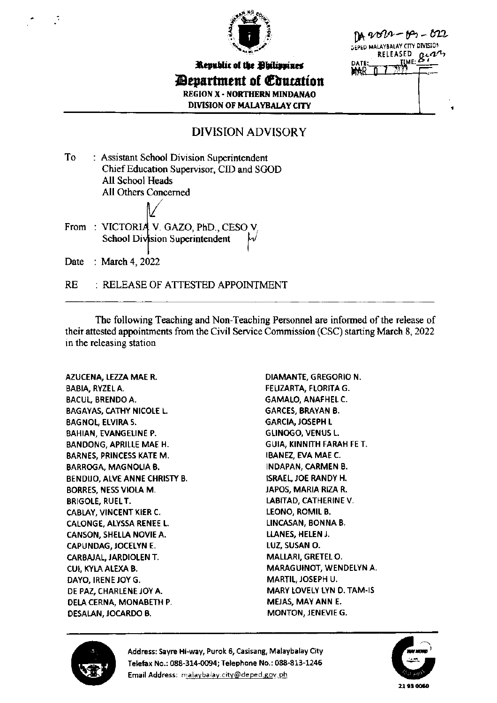

| Republic of the Obilippines           |
|---------------------------------------|
| <b><i>Pepartment of Coucation</i></b> |
| <b>REGION X - NORTHERN MINDANAO</b>   |
| <b>DIVISION OF MALAYBALAY CITY</b>    |

 $104900 - 103 - 022$ AY CITY DIVISION **TWK** 

## **DIVISION ADVISORY**

To : Assistant School Division Superintendent Chief Education Supervisor, CID and SGOD All School Heads All Others Concerned

From: VICTORIA V. GAZO, PhD., CESO V. School Division Superintendent Date : March 4, 2022

: RELEASE OF ATTESTED APPOINTMENT **RE** 

The following Teaching and Non-Teaching Personnel are informed of the release of their attested appointments from the Civil Service Commission (CSC) starting March 8, 2022 in the releasing station

AZUCENA, LEZZA MAE R. **BABIA, RYZEL A. BACUL, BRENDO A. BAGAYAS, CATHY NICOLE L. BAGNOL, ELVIRA S.** BAHIAN, EVANGELINE P. **BANDONG, APRILLE MAE H. BARNES, PRINCESS KATE M. BARROGA, MAGNOLIA B.** BENDIJO, ALVE ANNE CHRISTY B. BORRES, NESS VIOLA M. **BRIGOLE, RUEL T.** CABLAY, VINCENT KIER C. CALONGE, ALYSSA RENEE L. CANSON, SHELLA NOVIE A. CAPUNDAG, JOCELYN E. CARBAJAL, JARDIOLEN T. CUI, KYLA ALEXA B. DAYO, IRENE JOY G. DE PAZ, CHARLENE JOY A. DELA CERNA, MONABETH P. DESALAN, JOCARDO B.

DIAMANTE, GREGORIO N. FELIZARTA, FLORITA G. **GAMALO, ANAFHEL C. GARCES, BRAYAN B. GARCIA, JOSEPH L GLINOGO, VENUS L.** GUIA, KINNITH FARAH FE T. IBANEZ, EVA MAE C. **INDAPAN, CARMEN B. ISRAEL, JOE RANDY H.** JAPOS, MARIA RIZA R. LABITAD, CATHERINE V. **LEONO, ROMIL B.** LINCASAN, BONNA B. LLANES, HELEN J. LUZ, SUSAN O. MALLARI, GRETEL O. MARAGUINOT, WENDELYN A. MARTIL, JOSEPH U. MARY LOVELY LYN D. TAM-IS MEJAS, MAY ANN E. MONTON, JENEVIE G.



Address: Sayre Hi-way, Purok 6, Casisang, Malaybalay City Telefax No.: 088-314-0094; Telephone No.: 088-813-1246 Email Address: malaybalay.city@deped.gov.ph